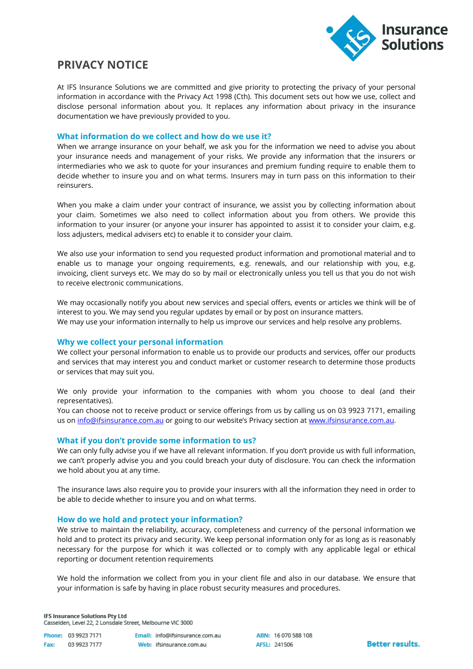

# **PRIVACY NOTICE**

At IFS Insurance Solutions we are committed and give priority to protecting the privacy of your personal information in accordance with the Privacy Act 1998 (Cth). This document sets out how we use, collect and disclose personal information about you. It replaces any information about privacy in the insurance documentation we have previously provided to you.

## **What information do we collect and how do we use it?**

When we arrange insurance on your behalf, we ask you for the information we need to advise you about your insurance needs and management of your risks. We provide any information that the insurers or intermediaries who we ask to quote for your insurances and premium funding require to enable them to decide whether to insure you and on what terms. Insurers may in turn pass on this information to their reinsurers.

When you make a claim under your contract of insurance, we assist you by collecting information about your claim. Sometimes we also need to collect information about you from others. We provide this information to your insurer (or anyone your insurer has appointed to assist it to consider your claim, e.g. loss adjusters, medical advisers etc) to enable it to consider your claim.

We also use your information to send you requested product information and promotional material and to enable us to manage your ongoing requirements, e.g. renewals, and our relationship with you, e.g. invoicing, client surveys etc. We may do so by mail or electronically unless you tell us that you do not wish to receive electronic communications.

We may occasionally notify you about new services and special offers, events or articles we think will be of interest to you. We may send you regular updates by email or by post on insurance matters. We may use your information internally to help us improve our services and help resolve any problems.

# **Why we collect your personal information**

We collect your personal information to enable us to provide our products and services, offer our products and services that may interest you and conduct market or customer research to determine those products or services that may suit you.

We only provide your information to the companies with whom you choose to deal (and their representatives).

You can choose not to receive product or service offerings from us by calling us on 03 9923 7171, emailing us o[n info@ifsinsurance.com.au](mailto:info@ifsinsurance.com.au) or going to our website's Privacy section at [www.ifsinsurance.com.au.](http://www.ifsinsurance.com.au/)

# **What if you don't provide some information to us?**

We can only fully advise you if we have all relevant information. If you don't provide us with full information, we can't properly advise you and you could breach your duty of disclosure. You can check the information we hold about you at any time.

The insurance laws also require you to provide your insurers with all the information they need in order to be able to decide whether to insure you and on what terms.

### **How do we hold and protect your information?**

We strive to maintain the reliability, accuracy, completeness and currency of the personal information we hold and to protect its privacy and security. We keep personal information only for as long as is reasonably necessary for the purpose for which it was collected or to comply with any applicable legal or ethical reporting or document retention requirements

We hold the information we collect from you in your client file and also in our database. We ensure that your information is safe by having in place robust security measures and procedures.

**IFS Insurance Solutions Pty Ltd** Casselden, Level 22, 2 Lonsdale Street, Melbourne VIC 3000

|      | Phone: 03 9923 7171 | Emall: info@ifsinsurance.com.au |
|------|---------------------|---------------------------------|
| Fax: | 03 9923 7177        | Web: ifsinsurance.com.au        |

ABN: 16 070 588 108 AFSL: 241506